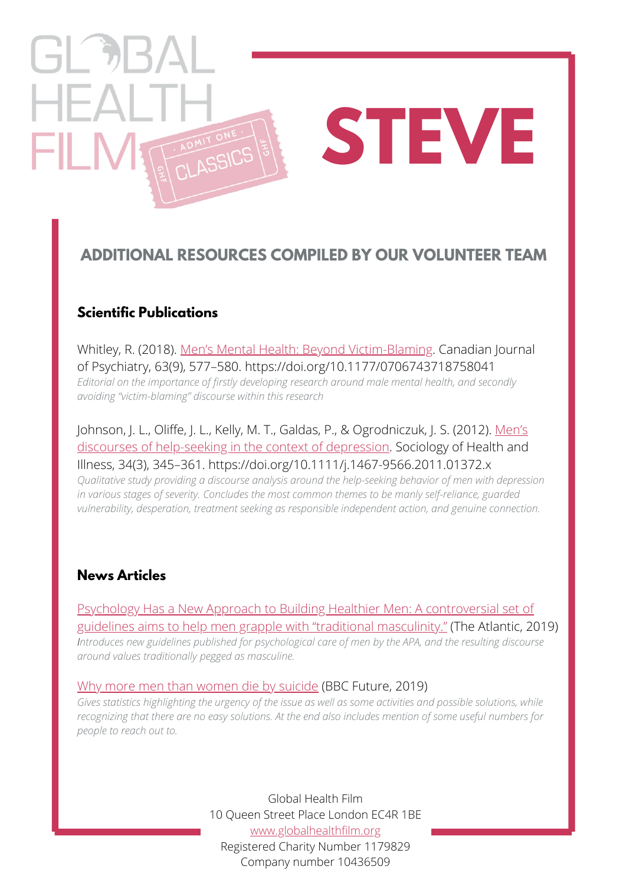# $\left[\begin{array}{cc} -1 & 0 \\ 0 & 0 \end{array}\right]$  $HFA$ **STEVE** FILI

## **ADDITIONAL RESOURCES COMPILED BY OUR VOLUNTEER TEAM**

#### **Scientific Publications**

Whitley, R. (2018). [Men's Mental Health: Beyond Victim-Blaming](https://www.ncbi.nlm.nih.gov/pmc/articles/PMC6109881/). Canadian Journal of Psychiatry, 63(9), 577–580. https://doi.org/10.1177/0706743718758041 *Editorial on the importance of firstly developing research around male mental health, and secondly avoiding ["victim-blaming"](https://www.theatlantic.com/health/archive/2019/01/traditional-masculinity-american-psychological-association/580006/) discourse within this research*

[Johnson, J. L., Oliffe, J. L., Kelly, M. T., Galdas, P., & Ogrodniczuk, J. S. \(2012\). Men's](https://pubmed.ncbi.nlm.nih.gov/21707661/) discourses of help-seeking in the context of depression. Sociology of Health and Illness, 34(3), 345–361. https://doi.org/10.1111/j.1467-9566.2011.01372.x *Qualitative study providing a discourse analysis around the help-seeking behavior of men with depression in various stages of severity. Concludes the most common themes to be manly self-reliance, guarded [vulnerability,](https://www.theatlantic.com/health/archive/2019/01/traditional-masculinity-american-psychological-association/580006/) desperation, treatment seeking as responsible independent action, and genuine connection.*

#### **News Articles**

Psychology Has a New Approach to Building Healthier Men: A controversial set of [guidelines aims to help men grapple with "traditional masculinity." \(The Atlantic, 20](https://www.theatlantic.com/health/archive/2019/01/traditional-masculinity-american-psychological-association/580006/)19) *Introduces new guidelines published for psychological care of men by the APA, and the resulting discourse around values traditionally pegged as masculine.*

#### [Why more men than women die by suicide](https://www.bbc.com/future/article/20190313-why-more-men-kill-themselves-than-women) (BBC Future, 2019)

Gives statistics highlighting the urgency of the issue as well as some activities and possible solutions, while recognizing that there are no easy solutions. At the end also includes mention of some useful numbers for *people to reach out to.*

> Global Health Film 10 Queen Street Place London EC4R 1BE [www.globalhealthfilm.org](http://globalhealthfilm.org/) Registered Charity Number 1179829 Company number 10436509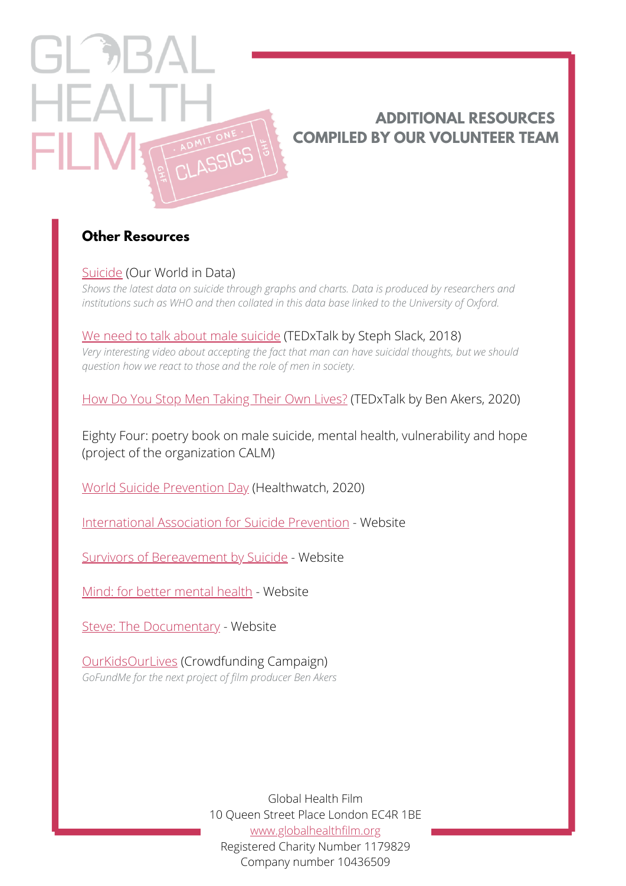### **ADDITIONAL RESOURCES COMPILED BY OUR VOLUNTEER TEAM**

#### **Other Resources**

 $HFA$ 

FIL N

[Suicide](https://ourworldindata.org/suicide) [\(Our World in Data\)](https://www.youtube.com/watch?v=Q3WDw-DBKLA)

*Shows the latest data on suicide through graphs and charts. Data is produced by [researchers](https://www.youtube.com/watch?v=Q3WDw-DBKLA) and institutions such as WHO and then collated in this data base linked to the University of Oxford.*

[We need to talk about male suicide](https://www.youtube.com/watch?v=Q3WDw-DBKLA) (TEDxTalk by Steph Slack, 2018) *Very interesting video about accepting the fact that man can have suicidal thoughts, but we should question how we react to those and the role of men in society.*

[How Do You Stop Men Taking Their Own Lives?](https://www.youtube.com/watch?v=Y9FEQYp1imc&feature=youtu.be) (TEDxTalk by Ben Akers, 2020)

Eighty Four: poetry book on male suicide, mental health, vulnerability and hope (project of the organization CALM)

[World Suicide Prevention Day](https://www.healthwatch.co.uk/event/2020-09-10/world-suicide-prevention-day) (Healthwatch, 2020)

[International Association for Suicide Prevention](https://www.iasp.info/) - Website

[Survivors of Bereavement by Suicide](https://uksobs.org/) - Website

[Mind: for better mental health](https://www.mind.org.uk/) - Website

[Steve: The Documentary](https://www.stevedocumentary.com/) - Website

[OurKidsOurLives](https://www.gofundme.com/f/ourkidsourlives) (Crowdfunding Campaign) *GoFundMe for the next project of film producer Ben Akers*

> Global Health Film 10 Queen Street Place London EC4R 1BE [www.globalhealthfilm.org](http://globalhealthfilm.org/) Registered Charity Number 1179829 Company number 10436509